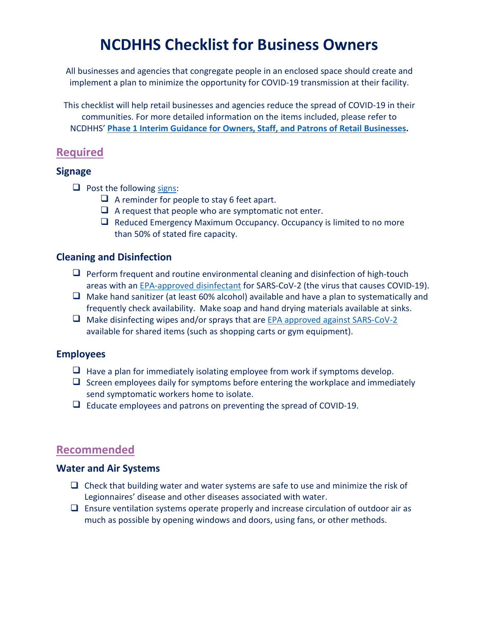# **NCDHHS Checklist for Business Owners**

All businesses and agencies that congregate people in an enclosed space should create and implement a plan to minimize the opportunity for COVID-19 transmission at their facility.

This checklist will help retail businesses and agencies reduce the spread of COVID-19 in their communities. For more detailed information on the items included, please refer to NCDHHS' **Phase 1 [Interim Guidance for Owners, Staff, and Patrons of Retail Businesses.](https://files.nc.gov/ncdhhs/documents/files/covid-19/NCDHHS-Interim-Guidance-for-Businesses.pdf)**

# **Required**

## **Signage**

- $\Box$  Post the following [signs:](https://www.ncdhhs.gov/divisions/public-health/covid19/covid-19-guidance#phase-1-easing-of-restrictions)
	- $\Box$  A reminder for people to stay 6 feet apart.
	- $\Box$  A request that people who are symptomatic not enter.
	- $\Box$  Reduced Emergency Maximum Occupancy. Occupancy is limited to no more than 50% of stated fire capacity.

## **Cleaning and Disinfection**

- $\Box$  Perform frequent and routine environmental cleaning and disinfection of high-touch areas with a[n EPA-approved disinfectant](https://www.epa.gov/pesticide-registration/list-n-disinfectants-use-against-sars-cov-2) for SARS-CoV-2 (the virus that causes COVID-19).
- $\Box$  Make hand sanitizer (at least 60% alcohol) available and have a plan to systematically and frequently check availability. Make soap and hand drying materials available at sinks.
- $\Box$  Make disinfecting wipes and/or sprays that are [EPA approved against SARS-CoV-2](https://www.epa.gov/pesticide-registration/list-n-disinfectants-use-against-sars-cov-2) available for shared items (such as shopping carts or gym equipment).

## **Employees**

- $\Box$  Have a plan for immediately isolating employee from work if symptoms develop.
- $\Box$  Screen employees daily for symptoms before entering the workplace and immediately send symptomatic workers home to isolate.
- $\Box$  Educate employees and patrons on preventing the spread of COVID-19.

# **Recommended**

## **Water and Air Systems**

- $\Box$  Check that building water and water systems are safe to use and minimize the risk of Legionnaires' disease and other diseases associated with water.
- $\Box$  Ensure ventilation systems operate properly and increase circulation of outdoor air as much as possible by opening windows and doors, using fans, or other methods.